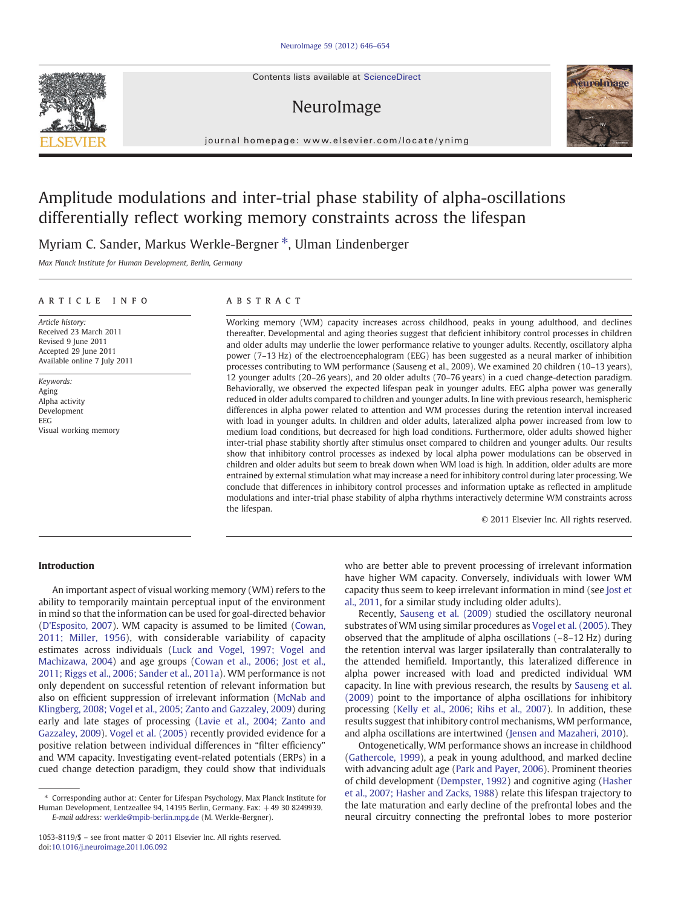Contents lists available at ScienceDirect

# NeuroImage



journal homepage: www.elsevier.com/locate/ynimg

# Amplitude modulations and inter-trial phase stability of alpha-oscillations differentially reflect working memory constraints across the lifespan

Myriam C. Sander, Markus Werkle-Bergner ⁎, Ulman Lindenberger

Max Planck Institute for Human Development, Berlin, Germany

# article info abstract

Article history: Received 23 March 2011 Revised 9 June 2011 Accepted 29 June 2011

Available online 7 July 2011

Keywords: Aging Alpha activity Development EEG Visual working memory

Working memory (WM) capacity increases across childhood, peaks in young adulthood, and declines thereafter. Developmental and aging theories suggest that deficient inhibitory control processes in children and older adults may underlie the lower performance relative to younger adults. Recently, oscillatory alpha power (7–13 Hz) of the electroencephalogram (EEG) has been suggested as a neural marker of inhibition processes contributing to WM performance (Sauseng et al., 2009). We examined 20 children (10–13 years), 12 younger adults (20–26 years), and 20 older adults (70–76 years) in a cued change-detection paradigm. Behaviorally, we observed the expected lifespan peak in younger adults. EEG alpha power was generally reduced in older adults compared to children and younger adults. In line with previous research, hemispheric differences in alpha power related to attention and WM processes during the retention interval increased with load in younger adults. In children and older adults, lateralized alpha power increased from low to medium load conditions, but decreased for high load conditions. Furthermore, older adults showed higher inter-trial phase stability shortly after stimulus onset compared to children and younger adults. Our results show that inhibitory control processes as indexed by local alpha power modulations can be observed in children and older adults but seem to break down when WM load is high. In addition, older adults are more entrained by external stimulation what may increase a need for inhibitory control during later processing. We conclude that differences in inhibitory control processes and information uptake as reflected in amplitude modulations and inter-trial phase stability of alpha rhythms interactively determine WM constraints across the lifespan.

© 2011 Elsevier Inc. All rights reserved.

# Introduction

An important aspect of visual working memory (WM) refers to the ability to temporarily maintain perceptual input of the environment in mind so that the information can be used for goal-directed behavior [\(D'Esposito, 2007](#page-7-0)). WM capacity is assumed to be limited [\(Cowan,](#page-6-0) [2011; Miller, 1956\)](#page-6-0), with considerable variability of capacity estimates across individuals ([Luck and Vogel, 1997; Vogel and](#page-7-0) [Machizawa, 2004](#page-7-0)) and age groups [\(Cowan et al., 2006; Jost et al.,](#page-7-0) [2011; Riggs et al., 2006; Sander et al., 2011a\)](#page-7-0). WM performance is not only dependent on successful retention of relevant information but also on efficient suppression of irrelevant information [\(McNab and](#page-7-0) [Klingberg, 2008; Vogel et al., 2005; Zanto and Gazzaley, 2009](#page-7-0)) during early and late stages of processing [\(Lavie et al., 2004; Zanto and](#page-7-0) [Gazzaley, 2009](#page-7-0)). [Vogel et al. \(2005\)](#page-7-0) recently provided evidence for a positive relation between individual differences in "filter efficiency" and WM capacity. Investigating event-related potentials (ERPs) in a cued change detection paradigm, they could show that individuals

who are better able to prevent processing of irrelevant information have higher WM capacity. Conversely, individuals with lower WM capacity thus seem to keep irrelevant information in mind (see [Jost et](#page-7-0) [al., 2011](#page-7-0), for a similar study including older adults).

Recently, [Sauseng et al. \(2009\)](#page-7-0) studied the oscillatory neuronal substrates of WM using similar procedures as [Vogel et al. \(2005\).](#page-7-0) They observed that the amplitude of alpha oscillations (~8–12 Hz) during the retention interval was larger ipsilaterally than contralaterally to the attended hemifield. Importantly, this lateralized difference in alpha power increased with load and predicted individual WM capacity. In line with previous research, the results by [Sauseng et al.](#page-7-0) [\(2009\)](#page-7-0) point to the importance of alpha oscillations for inhibitory processing [\(Kelly et al., 2006; Rihs et al., 2007](#page-7-0)). In addition, these results suggest that inhibitory control mechanisms, WM performance, and alpha oscillations are intertwined ([Jensen and Mazaheri, 2010](#page-7-0)).

Ontogenetically, WM performance shows an increase in childhood [\(Gathercole, 1999](#page-7-0)), a peak in young adulthood, and marked decline with advancing adult age ([Park and Payer, 2006](#page-7-0)). Prominent theories of child development ([Dempster, 1992\)](#page-7-0) and cognitive aging [\(Hasher](#page-7-0) [et al., 2007; Hasher and Zacks, 1988\)](#page-7-0) relate this lifespan trajectory to the late maturation and early decline of the prefrontal lobes and the neural circuitry connecting the prefrontal lobes to more posterior



<sup>⁎</sup> Corresponding author at: Center for Lifespan Psychology, Max Planck Institute for Human Development, Lentzeallee 94, 14195 Berlin, Germany. Fax: +49 30 8249939. E-mail address: [werkle@mpib-berlin.mpg.de](mailto:werkle@mpib-berlin.mpg.de) (M. Werkle-Bergner).

<sup>1053-8119/\$</sup> – see front matter © 2011 Elsevier Inc. All rights reserved. doi[:10.1016/j.neuroimage.2011.06.092](http://dx.doi.org/10.1016/j.neuroimage.2011.06.092)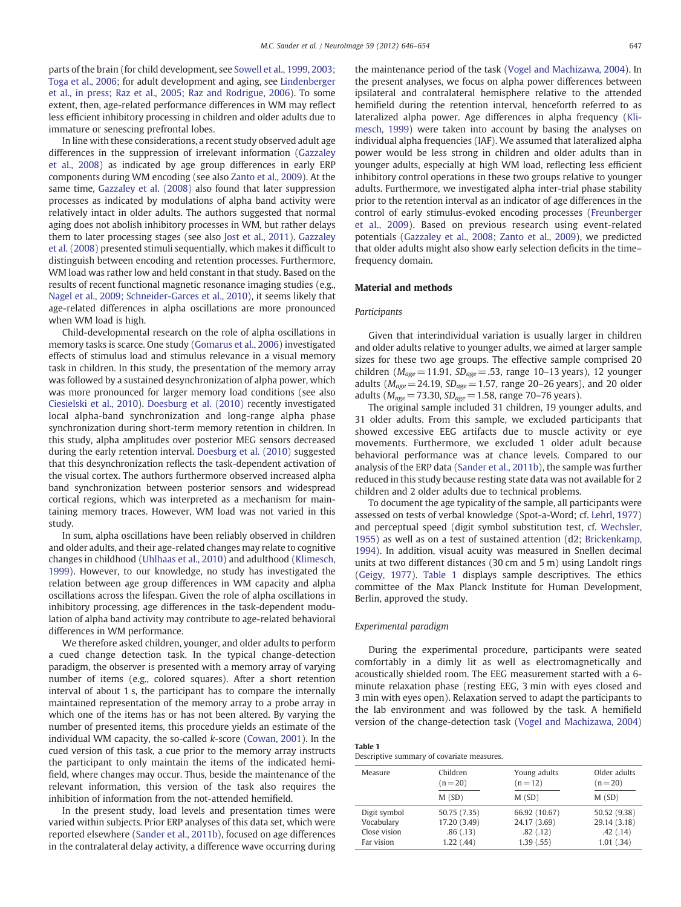parts of the brain (for child development, see [Sowell et al., 1999, 2003;](#page-7-0) [Toga et al., 2006](#page-7-0); for adult development and aging, see [Lindenberger](#page-7-0) [et al., in press; Raz et al., 2005; Raz and Rodrigue, 2006\)](#page-7-0). To some extent, then, age-related performance differences in WM may reflect less efficient inhibitory processing in children and older adults due to immature or senescing prefrontal lobes.

In line with these considerations, a recent study observed adult age differences in the suppression of irrelevant information [\(Gazzaley](#page-7-0) [et al., 2008\)](#page-7-0) as indicated by age group differences in early ERP components during WM encoding (see also [Zanto et al., 2009](#page-8-0)). At the same time, [Gazzaley et al. \(2008\)](#page-7-0) also found that later suppression processes as indicated by modulations of alpha band activity were relatively intact in older adults. The authors suggested that normal aging does not abolish inhibitory processes in WM, but rather delays them to later processing stages (see also [Jost et al., 2011](#page-7-0)). [Gazzaley](#page-7-0) [et al. \(2008\)](#page-7-0) presented stimuli sequentially, which makes it difficult to distinguish between encoding and retention processes. Furthermore, WM load was rather low and held constant in that study. Based on the results of recent functional magnetic resonance imaging studies (e.g., [Nagel et al., 2009; Schneider-Garces et al., 2010\)](#page-7-0), it seems likely that age-related differences in alpha oscillations are more pronounced when WM load is high.

Child-developmental research on the role of alpha oscillations in memory tasks is scarce. One study [\(Gomarus et al., 2006\)](#page-7-0) investigated effects of stimulus load and stimulus relevance in a visual memory task in children. In this study, the presentation of the memory array was followed by a sustained desynchronization of alpha power, which was more pronounced for larger memory load conditions (see also [Ciesielski et al., 2010\)](#page-6-0). [Doesburg et al. \(2010\)](#page-7-0) recently investigated local alpha-band synchronization and long-range alpha phase synchronization during short-term memory retention in children. In this study, alpha amplitudes over posterior MEG sensors decreased during the early retention interval. [Doesburg et al. \(2010\)](#page-7-0) suggested that this desynchronization reflects the task-dependent activation of the visual cortex. The authors furthermore observed increased alpha band synchronization between posterior sensors and widespread cortical regions, which was interpreted as a mechanism for maintaining memory traces. However, WM load was not varied in this study.

In sum, alpha oscillations have been reliably observed in children and older adults, and their age-related changes may relate to cognitive changes in childhood ([Uhlhaas et al., 2010\)](#page-7-0) and adulthood ([Klimesch,](#page-7-0) [1999\)](#page-7-0). However, to our knowledge, no study has investigated the relation between age group differences in WM capacity and alpha oscillations across the lifespan. Given the role of alpha oscillations in inhibitory processing, age differences in the task-dependent modulation of alpha band activity may contribute to age-related behavioral differences in WM performance.

We therefore asked children, younger, and older adults to perform a cued change detection task. In the typical change-detection paradigm, the observer is presented with a memory array of varying number of items (e.g., colored squares). After a short retention interval of about 1 s, the participant has to compare the internally maintained representation of the memory array to a probe array in which one of the items has or has not been altered. By varying the number of presented items, this procedure yields an estimate of the individual WM capacity, the so-called k-score [\(Cowan, 2001\)](#page-6-0). In the cued version of this task, a cue prior to the memory array instructs the participant to only maintain the items of the indicated hemifield, where changes may occur. Thus, beside the maintenance of the relevant information, this version of the task also requires the inhibition of information from the not-attended hemifield.

In the present study, load levels and presentation times were varied within subjects. Prior ERP analyses of this data set, which were reported elsewhere [\(Sander et al., 2011b](http://dx.doi.org/10.1093/cercor/bhr076)), focused on age differences in the contralateral delay activity, a difference wave occurring during the maintenance period of the task [\(Vogel and Machizawa, 2004\)](#page-7-0). In the present analyses, we focus on alpha power differences between ipsilateral and contralateral hemisphere relative to the attended hemifield during the retention interval, henceforth referred to as lateralized alpha power. Age differences in alpha frequency ([Kli](#page-7-0)[mesch, 1999\)](#page-7-0) were taken into account by basing the analyses on individual alpha frequencies (IAF). We assumed that lateralized alpha power would be less strong in children and older adults than in younger adults, especially at high WM load, reflecting less efficient inhibitory control operations in these two groups relative to younger adults. Furthermore, we investigated alpha inter-trial phase stability prior to the retention interval as an indicator of age differences in the control of early stimulus-evoked encoding processes [\(Freunberger](#page-7-0) [et al., 2009\)](#page-7-0). Based on previous research using event-related potentials ([Gazzaley et al., 2008; Zanto et al., 2009\)](#page-7-0), we predicted that older adults might also show early selection deficits in the time– frequency domain.

# Material and methods

#### Participants

Given that interindividual variation is usually larger in children and older adults relative to younger adults, we aimed at larger sample sizes for these two age groups. The effective sample comprised 20 children ( $M_{age}$  = 11.91,  $SD_{age}$  = .53, range 10–13 years), 12 younger adults ( $M_{age}$  = 24.19,  $SD_{age}$  = 1.57, range 20-26 years), and 20 older adults ( $M_{age}$  = 73.30,  $SD_{age}$  = 1.58, range 70–76 years).

The original sample included 31 children, 19 younger adults, and 31 older adults. From this sample, we excluded participants that showed excessive EEG artifacts due to muscle activity or eye movements. Furthermore, we excluded 1 older adult because behavioral performance was at chance levels. Compared to our analysis of the ERP data ([Sander et al., 2011b](http://dx.doi.org/10.1093/cercor/bhr076)), the sample was further reduced in this study because resting state data was not available for 2 children and 2 older adults due to technical problems.

To document the age typicality of the sample, all participants were assessed on tests of verbal knowledge (Spot-a-Word; cf. [Lehrl, 1977](#page-7-0)) and perceptual speed (digit symbol substitution test, cf. [Wechsler,](#page-7-0) [1955\)](#page-7-0) as well as on a test of sustained attention (d2; [Brickenkamp,](#page-6-0) [1994\)](#page-6-0). In addition, visual acuity was measured in Snellen decimal units at two different distances (30 cm and 5 m) using Landolt rings [\(Geigy, 1977](#page-7-0)). Table 1 displays sample descriptives. The ethics committee of the Max Planck Institute for Human Development, Berlin, approved the study.

#### Experimental paradigm

During the experimental procedure, participants were seated comfortably in a dimly lit as well as electromagnetically and acoustically shielded room. The EEG measurement started with a 6 minute relaxation phase (resting EEG, 3 min with eyes closed and 3 min with eyes open). Relaxation served to adapt the participants to the lab environment and was followed by the task. A hemifield version of the change-detection task [\(Vogel and Machizawa, 2004](#page-7-0))

| Table 1                                    |  |  |
|--------------------------------------------|--|--|
| Descriptive summary of covariate measures. |  |  |

| Measure      | Children     | Young adults  | Older adults |
|--------------|--------------|---------------|--------------|
|              | $(n=20)$     | $(n=12)$      | $(n=20)$     |
|              | M(SD)        | M(SD)         | M(SD)        |
| Digit symbol | 50.75 (7.35) | 66.92 (10.67) | 50.52 (9.38) |
| Vocabulary   | 17.20 (3.49) | 24.17 (3.69)  | 29.14 (3.18) |
| Close vision | .86(.13)     | .82(.12)      | .42(.14)     |
| Far vision   | 1.22(.44)    | 1.39(.55)     | 1.01(.34)    |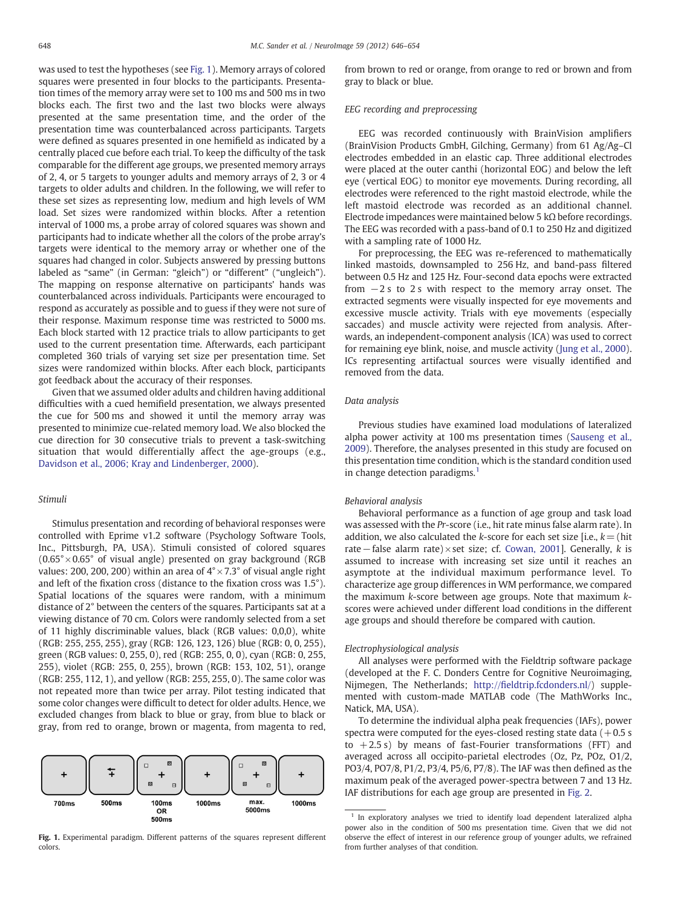was used to test the hypotheses (see Fig. 1). Memory arrays of colored squares were presented in four blocks to the participants. Presentation times of the memory array were set to 100 ms and 500 ms in two blocks each. The first two and the last two blocks were always presented at the same presentation time, and the order of the presentation time was counterbalanced across participants. Targets were defined as squares presented in one hemifield as indicated by a centrally placed cue before each trial. To keep the difficulty of the task comparable for the different age groups, we presented memory arrays of 2, 4, or 5 targets to younger adults and memory arrays of 2, 3 or 4 targets to older adults and children. In the following, we will refer to these set sizes as representing low, medium and high levels of WM load. Set sizes were randomized within blocks. After a retention interval of 1000 ms, a probe array of colored squares was shown and participants had to indicate whether all the colors of the probe array's targets were identical to the memory array or whether one of the squares had changed in color. Subjects answered by pressing buttons labeled as "same" (in German: "gleich") or "different" ("ungleich"). The mapping on response alternative on participants' hands was counterbalanced across individuals. Participants were encouraged to respond as accurately as possible and to guess if they were not sure of their response. Maximum response time was restricted to 5000 ms. Each block started with 12 practice trials to allow participants to get used to the current presentation time. Afterwards, each participant completed 360 trials of varying set size per presentation time. Set sizes were randomized within blocks. After each block, participants got feedback about the accuracy of their responses.

Given that we assumed older adults and children having additional difficulties with a cued hemifield presentation, we always presented the cue for 500 ms and showed it until the memory array was presented to minimize cue-related memory load. We also blocked the cue direction for 30 consecutive trials to prevent a task-switching situation that would differentially affect the age-groups (e.g., [Davidson et al., 2006; Kray and Lindenberger, 2000\)](#page-7-0).

### Stimuli

Stimulus presentation and recording of behavioral responses were controlled with Eprime v1.2 software (Psychology Software Tools, Inc., Pittsburgh, PA, USA). Stimuli consisted of colored squares  $(0.65^\circ \times 0.65^\circ)$  of visual angle) presented on gray background (RGB values: 200, 200, 200) within an area of  $4^{\circ} \times 7.3^{\circ}$  of visual angle right and left of the fixation cross (distance to the fixation cross was 1.5°). Spatial locations of the squares were random, with a minimum distance of 2° between the centers of the squares. Participants sat at a viewing distance of 70 cm. Colors were randomly selected from a set of 11 highly discriminable values, black (RGB values: 0,0,0), white (RGB: 255, 255, 255), gray (RGB: 126, 123, 126) blue (RGB: 0, 0, 255), green (RGB values: 0, 255, 0), red (RGB: 255, 0, 0), cyan (RGB: 0, 255, 255), violet (RGB: 255, 0, 255), brown (RGB: 153, 102, 51), orange (RGB: 255, 112, 1), and yellow (RGB: 255, 255, 0). The same color was not repeated more than twice per array. Pilot testing indicated that some color changes were difficult to detect for older adults. Hence, we excluded changes from black to blue or gray, from blue to black or gray, from red to orange, brown or magenta, from magenta to red,



Fig. 1. Experimental paradigm. Different patterns of the squares represent different colors.

from brown to red or orange, from orange to red or brown and from gray to black or blue.

# EEG recording and preprocessing

EEG was recorded continuously with BrainVision amplifiers (BrainVision Products GmbH, Gilching, Germany) from 61 Ag/Ag–Cl electrodes embedded in an elastic cap. Three additional electrodes were placed at the outer canthi (horizontal EOG) and below the left eye (vertical EOG) to monitor eye movements. During recording, all electrodes were referenced to the right mastoid electrode, while the left mastoid electrode was recorded as an additional channel. Electrode impedances were maintained below 5 kΩ before recordings. The EEG was recorded with a pass-band of 0.1 to 250 Hz and digitized with a sampling rate of 1000 Hz.

For preprocessing, the EEG was re-referenced to mathematically linked mastoids, downsampled to 256 Hz, and band-pass filtered between 0.5 Hz and 125 Hz. Four-second data epochs were extracted from  $-2s$  to 2 s with respect to the memory array onset. The extracted segments were visually inspected for eye movements and excessive muscle activity. Trials with eye movements (especially saccades) and muscle activity were rejected from analysis. Afterwards, an independent-component analysis (ICA) was used to correct for remaining eye blink, noise, and muscle activity ([Jung et al., 2000](#page-7-0)). ICs representing artifactual sources were visually identified and removed from the data.

#### Data analysis

Previous studies have examined load modulations of lateralized alpha power activity at 100 ms presentation times [\(Sauseng et al.,](#page-7-0) [2009\)](#page-7-0). Therefore, the analyses presented in this study are focused on this presentation time condition, which is the standard condition used in change detection paradigms.<sup>1</sup>

#### Behavioral analysis

Behavioral performance as a function of age group and task load was assessed with the Pr-score (i.e., hit rate minus false alarm rate). In addition, we also calculated the k-score for each set size [i.e.,  $k=$  (hit rate−false alarm rate)× set size; cf. [Cowan, 2001\]](#page-6-0). Generally, k is assumed to increase with increasing set size until it reaches an asymptote at the individual maximum performance level. To characterize age group differences in WM performance, we compared the maximum k-score between age groups. Note that maximum kscores were achieved under different load conditions in the different age groups and should therefore be compared with caution.

#### Electrophysiological analysis

All analyses were performed with the Fieldtrip software package (developed at the F. C. Donders Centre for Cognitive Neuroimaging, Nijmegen, The Netherlands; http://fi[eldtrip.fcdonders.nl/\)](http://fieldtrip.fcdonders.nl/) supplemented with custom-made MATLAB code (The MathWorks Inc., Natick, MA, USA).

To determine the individual alpha peak frequencies (IAFs), power spectra were computed for the eyes-closed resting state data  $(+0.5 s)$ to  $+2.5$  s) by means of fast-Fourier transformations (FFT) and averaged across all occipito-parietal electrodes (Oz, Pz, POz, O1/2, PO3/4, PO7/8, P1/2, P3/4, P5/6, P7/8). The IAF was then defined as the maximum peak of the averaged power-spectra between 7 and 13 Hz. IAF distributions for each age group are presented in [Fig. 2](#page-3-0).

 $1$  In exploratory analyses we tried to identify load dependent lateralized alpha power also in the condition of 500 ms presentation time. Given that we did not observe the effect of interest in our reference group of younger adults, we refrained from further analyses of that condition.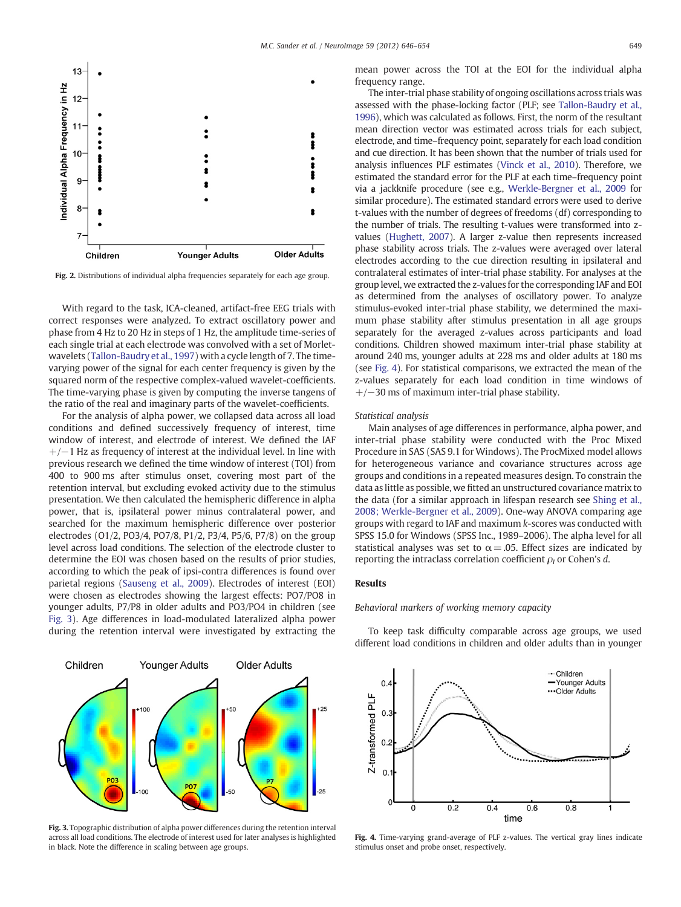<span id="page-3-0"></span>

Fig. 2. Distributions of individual alpha frequencies separately for each age group.

With regard to the task, ICA-cleaned, artifact-free EEG trials with correct responses were analyzed. To extract oscillatory power and phase from 4 Hz to 20 Hz in steps of 1 Hz, the amplitude time-series of each single trial at each electrode was convolved with a set of Morletwavelets ([Tallon-Baudry et al., 1997](#page-7-0)) with a cycle length of 7. The timevarying power of the signal for each center frequency is given by the squared norm of the respective complex-valued wavelet-coefficients. The time-varying phase is given by computing the inverse tangens of the ratio of the real and imaginary parts of the wavelet-coefficients.

For the analysis of alpha power, we collapsed data across all load conditions and defined successively frequency of interest, time window of interest, and electrode of interest. We defined the IAF  $+/-1$  Hz as frequency of interest at the individual level. In line with previous research we defined the time window of interest (TOI) from 400 to 900 ms after stimulus onset, covering most part of the retention interval, but excluding evoked activity due to the stimulus presentation. We then calculated the hemispheric difference in alpha power, that is, ipsilateral power minus contralateral power, and searched for the maximum hemispheric difference over posterior electrodes (O1/2, PO3/4, PO7/8, P1/2, P3/4, P5/6, P7/8) on the group level across load conditions. The selection of the electrode cluster to determine the EOI was chosen based on the results of prior studies, according to which the peak of ipsi-contra differences is found over parietal regions [\(Sauseng et al., 2009\)](#page-7-0). Electrodes of interest (EOI) were chosen as electrodes showing the largest effects: PO7/PO8 in younger adults, P7/P8 in older adults and PO3/PO4 in children (see Fig. 3). Age differences in load-modulated lateralized alpha power during the retention interval were investigated by extracting the



Fig. 3. Topographic distribution of alpha power differences during the retention interval across all load conditions. The electrode of interest used for later analyses is highlighted in black. Note the difference in scaling between age groups.

mean power across the TOI at the EOI for the individual alpha frequency range.

The inter-trial phase stability of ongoing oscillations across trials was assessed with the phase-locking factor (PLF; see [Tallon-Baudry et al.,](#page-7-0) [1996](#page-7-0)), which was calculated as follows. First, the norm of the resultant mean direction vector was estimated across trials for each subject, electrode, and time–frequency point, separately for each load condition and cue direction. It has been shown that the number of trials used for analysis influences PLF estimates [\(Vinck et al., 2010\)](#page-7-0). Therefore, we estimated the standard error for the PLF at each time–frequency point via a jackknife procedure (see e.g., [Werkle-Bergner et al., 2009](#page-7-0) for similar procedure). The estimated standard errors were used to derive t-values with the number of degrees of freedoms (df) corresponding to the number of trials. The resulting t-values were transformed into zvalues [\(Hughett, 2007](#page-7-0)). A larger z-value then represents increased phase stability across trials. The z-values were averaged over lateral electrodes according to the cue direction resulting in ipsilateral and contralateral estimates of inter-trial phase stability. For analyses at the group level, we extracted the z-values for the corresponding IAF and EOI as determined from the analyses of oscillatory power. To analyze stimulus-evoked inter-trial phase stability, we determined the maximum phase stability after stimulus presentation in all age groups separately for the averaged z-values across participants and load conditions. Children showed maximum inter-trial phase stability at around 240 ms, younger adults at 228 ms and older adults at 180 ms (see Fig. 4). For statistical comparisons, we extracted the mean of the z-values separately for each load condition in time windows of +/−30 ms of maximum inter-trial phase stability.

#### Statistical analysis

Main analyses of age differences in performance, alpha power, and inter-trial phase stability were conducted with the Proc Mixed Procedure in SAS (SAS 9.1 for Windows). The ProcMixed model allows for heterogeneous variance and covariance structures across age groups and conditions in a repeated measures design. To constrain the data as little as possible, we fitted an unstructured covariance matrix to the data (for a similar approach in lifespan research see [Shing et al.,](#page-7-0) [2008; Werkle-Bergner et al., 2009\)](#page-7-0). One-way ANOVA comparing age groups with regard to IAF and maximum k-scores was conducted with SPSS 15.0 for Windows (SPSS Inc., 1989–2006). The alpha level for all statistical analyses was set to  $\alpha = 0.05$ . Effect sizes are indicated by reporting the intraclass correlation coefficient  $\rho_I$  or Cohen's d.

#### Results

#### Behavioral markers of working memory capacity

To keep task difficulty comparable across age groups, we used different load conditions in children and older adults than in younger



Fig. 4. Time-varying grand-average of PLF z-values. The vertical gray lines indicate stimulus onset and probe onset, respectively.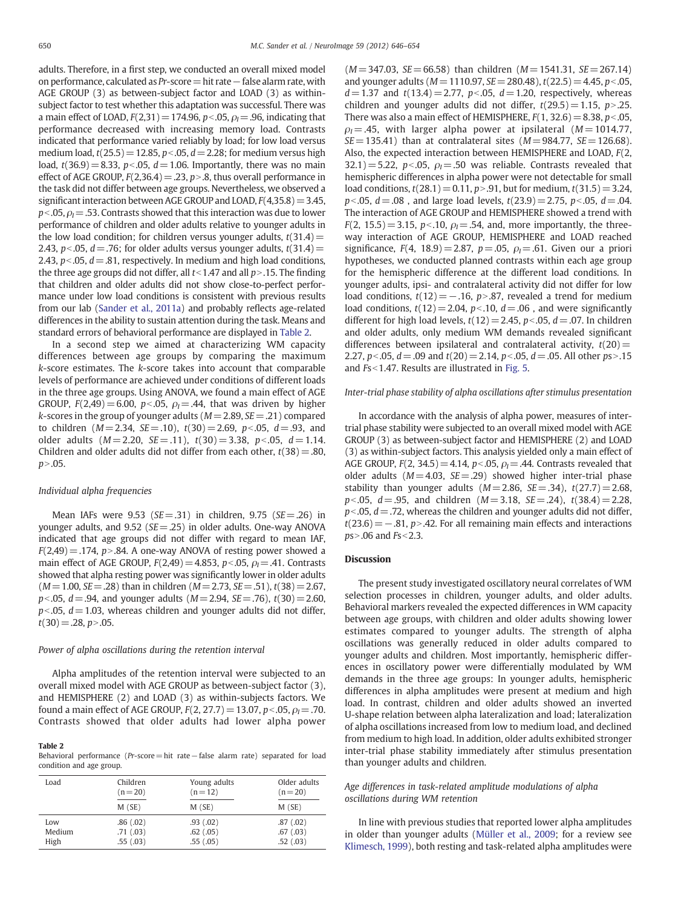adults. Therefore, in a first step, we conducted an overall mixed model on performance, calculated as Pr-score=hit rate−false alarm rate, with AGE GROUP (3) as between-subject factor and LOAD (3) as withinsubject factor to test whether this adaptation was successful. There was a main effect of LOAD,  $F(2,31)=174.96$ ,  $p<0.05$ ,  $\rho_1=.96$ , indicating that performance decreased with increasing memory load. Contrasts indicated that performance varied reliably by load; for low load versus medium load,  $t(25.5) = 12.85$ ,  $p < .05$ ,  $d = 2.28$ ; for medium versus high load,  $t(36.9) = 8.33$ ,  $p < .05$ ,  $d = 1.06$ . Importantly, there was no main effect of AGE GROUP,  $F(2,36.4) = .23$ ,  $p > .8$ , thus overall performance in the task did not differ between age groups. Nevertheless, we observed a significant interaction between AGE GROUP and LOAD,  $F(4,35.8)=3.45$ ,  $p<.05$ ,  $\rho_I$  = .53. Contrasts showed that this interaction was due to lower performance of children and older adults relative to younger adults in the low load condition; for children versus younger adults,  $t(31.4)$  = 2.43,  $p<0.05$ ,  $d=.76$ ; for older adults versus younger adults,  $t(31.4)=$ 2.43,  $p<0.05$ ,  $d=.81$ , respectively. In medium and high load conditions, the three age groups did not differ, all  $t<1.47$  and all  $p>1.5$ . The finding that children and older adults did not show close-to-perfect performance under low load conditions is consistent with previous results from our lab [\(Sander et al., 2011a](http://dx.doi.org/10.1037/a0023055)) and probably reflects age-related differences in the ability to sustain attention during the task. Means and standard errors of behavioral performance are displayed in Table 2.

In a second step we aimed at characterizing WM capacity differences between age groups by comparing the maximum k-score estimates. The k-score takes into account that comparable levels of performance are achieved under conditions of different loads in the three age groups. Using ANOVA, we found a main effect of AGE GROUP,  $F(2,49) = 6.00$ ,  $p < .05$ ,  $\rho_1 = .44$ , that was driven by higher k-scores in the group of younger adults ( $M= 2.89$ ,  $SE = .21$ ) compared to children ( $M = 2.34$ ,  $SE = .10$ ),  $t(30) = 2.69$ ,  $p<0.05$ ,  $d = .93$ , and older adults  $(M= 2.20, SE = .11)$ ,  $t(30) = 3.38, p<0.05, d = 1.14$ . Children and older adults did not differ from each other,  $t(38) = .80$ ,  $p > .05$ .

### Individual alpha frequencies

Mean IAFs were 9.53 ( $SE = .31$ ) in children, 9.75 ( $SE = .26$ ) in younger adults, and  $9.52$  ( $SE = .25$ ) in older adults. One-way ANOVA indicated that age groups did not differ with regard to mean IAF,  $F(2,49) = .174$ , p>,84. A one-way ANOVA of resting power showed a main effect of AGE GROUP,  $F(2,49) = 4.853$ ,  $p < .05$ ,  $\rho_I = .41$ . Contrasts showed that alpha resting power was significantly lower in older adults  $(M=1.00, SE=.28)$  than in children  $(M=2.73, SE=.51)$ ,  $t(38)=2.67$ ,  $p<0.05$ ,  $d=.94$ , and younger adults ( $M=2.94$ ,  $SE=.76$ ),  $t(30)=2.60$ ,  $p<0.05$ ,  $d=1.03$ , whereas children and younger adults did not differ,  $t(30) = .28$ ,  $p > .05$ .

#### Power of alpha oscillations during the retention interval

Alpha amplitudes of the retention interval were subjected to an overall mixed model with AGE GROUP as between-subject factor (3), and HEMISPHERE (2) and LOAD (3) as within-subjects factors. We found a main effect of AGE GROUP,  $F(2, 27.7) = 13.07$ ,  $p < .05$ ,  $\rho_1 = .70$ . Contrasts showed that older adults had lower alpha power

#### Table 2

Behavioral performance (Pr-score=hit rate−false alarm rate) separated for load condition and age group.

| Load   | Children<br>$(n=20)$ | Young adults<br>$(n=12)$ | Older adults<br>$(n=20)$ |
|--------|----------------------|--------------------------|--------------------------|
|        | M(SE)                | M(SE)                    | M(SE)                    |
| Low    | .86(.02)             | .93(0.02)                | .87(.02)                 |
| Medium | .71(.03)             | .62(.05)                 | .67(.03)                 |
| High   | .55(.03)             | .55(.05)                 | .52(.03)                 |

 $(M= 347.03, SE= 66.58)$  than children  $(M= 1541.31, SE= 267.14)$ and younger adults ( $M = 1110.97$ ,  $SE = 280.48$ ),  $t(22.5) = 4.45$ ,  $p < .05$ ,  $d = 1.37$  and  $t(13.4) = 2.77$ ,  $p < .05$ ,  $d = 1.20$ , respectively, whereas children and younger adults did not differ,  $t(29.5) = 1.15$ ,  $p > 0.25$ . There was also a main effect of HEMISPHERE,  $F(1, 32.6) = 8.38$ ,  $p < .05$ ,  $\rho_I = .45$ , with larger alpha power at ipsilateral ( $M = 1014.77$ ,  $SE = 135.41$ ) than at contralateral sites ( $M = 984.77$ ,  $SE = 126.68$ ). Also, the expected interaction between HEMISPHERE and LOAD, F(2, 32.1) = 5.22, p < 0.05,  $\rho_I$  = .50 was reliable. Contrasts revealed that hemispheric differences in alpha power were not detectable for small load conditions,  $t(28.1) = 0.11$ ,  $p > .91$ , but for medium,  $t(31.5) = 3.24$ ,  $p<0.05$ ,  $d=.08$ , and large load levels,  $t(23.9)=2.75$ ,  $p<0.05$ ,  $d=.04$ . The interaction of AGE GROUP and HEMISPHERE showed a trend with  $F(2, 15.5) = 3.15, p< .10, \rho_I = .54$ , and, more importantly, the threeway interaction of AGE GROUP, HEMISPHERE and LOAD reached significance,  $F(4, 18.9) = 2.87$ ,  $p = .05$ ,  $\rho_1 = .61$ . Given our a priori hypotheses, we conducted planned contrasts within each age group for the hemispheric difference at the different load conditions. In younger adults, ipsi- and contralateral activity did not differ for low load conditions,  $t(12)=-.16$ ,  $p>0.87$ , revealed a trend for medium load conditions,  $t(12) = 2.04$ ,  $p<10$ ,  $d = 0.06$ , and were significantly different for high load levels,  $t(12) = 2.45$ ,  $p < .05$ ,  $d = .07$ . In children and older adults, only medium WM demands revealed significant differences between ipsilateral and contralateral activity,  $t(20)$  = 2.27,  $p<0.05$ ,  $d = 0.09$  and  $t(20) = 2.14$ ,  $p<0.05$ ,  $d = 0.05$ . All other  $ps>0.15$ and  $Fs<1.47$ . Results are illustrated in [Fig. 5](#page-5-0).

#### Inter-trial phase stability of alpha oscillations after stimulus presentation

In accordance with the analysis of alpha power, measures of intertrial phase stability were subjected to an overall mixed model with AGE GROUP (3) as between-subject factor and HEMISPHERE (2) and LOAD (3) as within-subject factors. This analysis yielded only a main effect of AGE GROUP,  $F(2, 34.5) = 4.14$ ,  $p < .05$ ,  $\rho_I = .44$ . Contrasts revealed that older adults ( $M=4.03$ ,  $SE=.29$ ) showed higher inter-trial phase stability than younger adults  $(M= 2.86, SE = .34)$ ,  $t(27.7) = 2.68$ ,  $p<0.05$ ,  $d=.95$ , and children ( $M=3.18$ ,  $SE=.24$ ),  $t(38.4)=2.28$ ,  $p<0.05$ ,  $d=.72$ , whereas the children and younger adults did not differ,  $t(23.6)=-.81$ , p>.42. For all remaining main effects and interactions  $ps$  - 06 and  $Fs$  < 2.3.

#### **Discussion**

The present study investigated oscillatory neural correlates of WM selection processes in children, younger adults, and older adults. Behavioral markers revealed the expected differences in WM capacity between age groups, with children and older adults showing lower estimates compared to younger adults. The strength of alpha oscillations was generally reduced in older adults compared to younger adults and children. Most importantly, hemispheric differences in oscillatory power were differentially modulated by WM demands in the three age groups: In younger adults, hemispheric differences in alpha amplitudes were present at medium and high load. In contrast, children and older adults showed an inverted U-shape relation between alpha lateralization and load; lateralization of alpha oscillations increased from low to medium load, and declined from medium to high load. In addition, older adults exhibited stronger inter-trial phase stability immediately after stimulus presentation than younger adults and children.

# Age differences in task-related amplitude modulations of alpha oscillations during WM retention

In line with previous studies that reported lower alpha amplitudes in older than younger adults [\(Müller et al., 2009;](#page-7-0) for a review see [Klimesch, 1999\)](#page-7-0), both resting and task-related alpha amplitudes were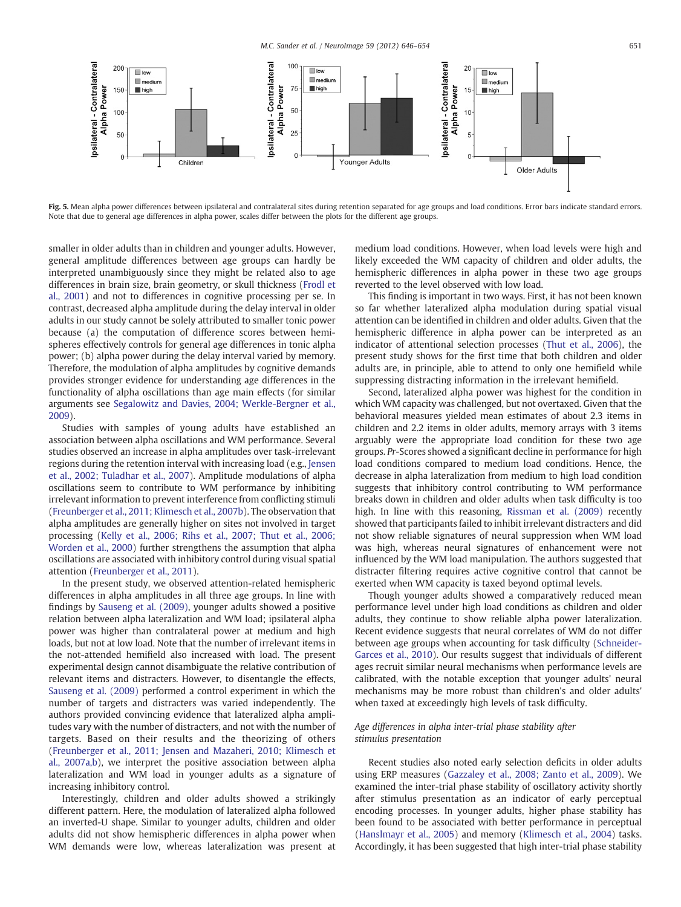M.C. Sander et al. / NeuroImage 59 (2012) 646–654 651

<span id="page-5-0"></span>

Fig. 5. Mean alpha power differences between ipsilateral and contralateral sites during retention separated for age groups and load conditions. Error bars indicate standard errors. Note that due to general age differences in alpha power, scales differ between the plots for the different age groups.

smaller in older adults than in children and younger adults. However, general amplitude differences between age groups can hardly be interpreted unambiguously since they might be related also to age differences in brain size, brain geometry, or skull thickness [\(Frodl et](#page-7-0) [al., 2001](#page-7-0)) and not to differences in cognitive processing per se. In contrast, decreased alpha amplitude during the delay interval in older adults in our study cannot be solely attributed to smaller tonic power because (a) the computation of difference scores between hemispheres effectively controls for general age differences in tonic alpha power; (b) alpha power during the delay interval varied by memory. Therefore, the modulation of alpha amplitudes by cognitive demands provides stronger evidence for understanding age differences in the functionality of alpha oscillations than age main effects (for similar arguments see [Segalowitz and Davies, 2004; Werkle-Bergner et al.,](#page-7-0) [2009\)](#page-7-0).

Studies with samples of young adults have established an association between alpha oscillations and WM performance. Several studies observed an increase in alpha amplitudes over task-irrelevant regions during the retention interval with increasing load (e.g., [Jensen](#page-7-0) [et al., 2002; Tuladhar et al., 2007\)](#page-7-0). Amplitude modulations of alpha oscillations seem to contribute to WM performance by inhibiting irrelevant information to prevent interference from conflicting stimuli [\(Freunberger et al., 2011; Klimesch et al., 2007b\)](#page-7-0). The observation that alpha amplitudes are generally higher on sites not involved in target processing [\(Kelly et al., 2006; Rihs et al., 2007; Thut et al., 2006;](#page-7-0) [Worden et al., 2000\)](#page-7-0) further strengthens the assumption that alpha oscillations are associated with inhibitory control during visual spatial attention ([Freunberger et al., 2011\)](#page-7-0).

In the present study, we observed attention-related hemispheric differences in alpha amplitudes in all three age groups. In line with findings by [Sauseng et al. \(2009\),](#page-7-0) younger adults showed a positive relation between alpha lateralization and WM load; ipsilateral alpha power was higher than contralateral power at medium and high loads, but not at low load. Note that the number of irrelevant items in the not-attended hemifield also increased with load. The present experimental design cannot disambiguate the relative contribution of relevant items and distracters. However, to disentangle the effects, [Sauseng et al. \(2009\)](#page-7-0) performed a control experiment in which the number of targets and distracters was varied independently. The authors provided convincing evidence that lateralized alpha amplitudes vary with the number of distracters, and not with the number of targets. Based on their results and the theorizing of others [\(Freunberger et al., 2011; Jensen and Mazaheri, 2010; Klimesch et](#page-7-0) [al., 2007a,b](#page-7-0)), we interpret the positive association between alpha lateralization and WM load in younger adults as a signature of increasing inhibitory control.

Interestingly, children and older adults showed a strikingly different pattern. Here, the modulation of lateralized alpha followed an inverted-U shape. Similar to younger adults, children and older adults did not show hemispheric differences in alpha power when WM demands were low, whereas lateralization was present at medium load conditions. However, when load levels were high and likely exceeded the WM capacity of children and older adults, the hemispheric differences in alpha power in these two age groups reverted to the level observed with low load.

This finding is important in two ways. First, it has not been known so far whether lateralized alpha modulation during spatial visual attention can be identified in children and older adults. Given that the hemispheric difference in alpha power can be interpreted as an indicator of attentional selection processes [\(Thut et al., 2006\)](#page-7-0), the present study shows for the first time that both children and older adults are, in principle, able to attend to only one hemifield while suppressing distracting information in the irrelevant hemifield.

Second, lateralized alpha power was highest for the condition in which WM capacity was challenged, but not overtaxed. Given that the behavioral measures yielded mean estimates of about 2.3 items in children and 2.2 items in older adults, memory arrays with 3 items arguably were the appropriate load condition for these two age groups. Pr-Scores showed a significant decline in performance for high load conditions compared to medium load conditions. Hence, the decrease in alpha lateralization from medium to high load condition suggests that inhibitory control contributing to WM performance breaks down in children and older adults when task difficulty is too high. In line with this reasoning, [Rissman et al. \(2009\)](#page-7-0) recently showed that participants failed to inhibit irrelevant distracters and did not show reliable signatures of neural suppression when WM load was high, whereas neural signatures of enhancement were not influenced by the WM load manipulation. The authors suggested that distracter filtering requires active cognitive control that cannot be exerted when WM capacity is taxed beyond optimal levels.

Though younger adults showed a comparatively reduced mean performance level under high load conditions as children and older adults, they continue to show reliable alpha power lateralization. Recent evidence suggests that neural correlates of WM do not differ between age groups when accounting for task difficulty [\(Schneider-](#page-7-0)[Garces et al., 2010](#page-7-0)). Our results suggest that individuals of different ages recruit similar neural mechanisms when performance levels are calibrated, with the notable exception that younger adults' neural mechanisms may be more robust than children's and older adults' when taxed at exceedingly high levels of task difficulty.

# Age differences in alpha inter-trial phase stability after stimulus presentation

Recent studies also noted early selection deficits in older adults using ERP measures ([Gazzaley et al., 2008; Zanto et al., 2009\)](#page-7-0). We examined the inter-trial phase stability of oscillatory activity shortly after stimulus presentation as an indicator of early perceptual encoding processes. In younger adults, higher phase stability has been found to be associated with better performance in perceptual [\(Hanslmayr et al., 2005\)](#page-7-0) and memory ([Klimesch et al., 2004](#page-7-0)) tasks. Accordingly, it has been suggested that high inter-trial phase stability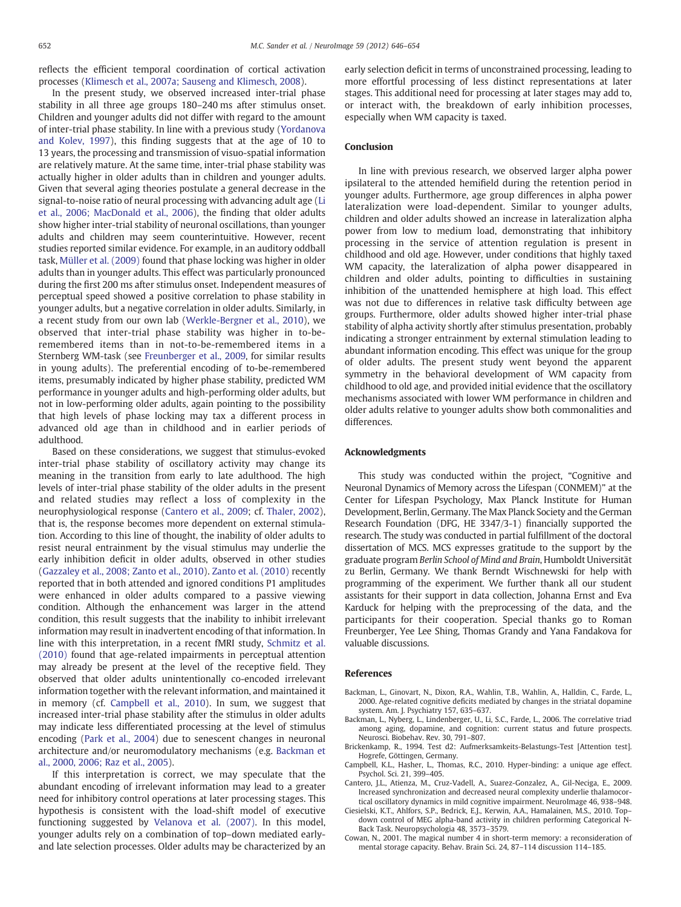<span id="page-6-0"></span>reflects the efficient temporal coordination of cortical activation processes ([Klimesch et al., 2007a; Sauseng and Klimesch, 2008\)](#page-7-0).

In the present study, we observed increased inter-trial phase stability in all three age groups 180–240 ms after stimulus onset. Children and younger adults did not differ with regard to the amount of inter-trial phase stability. In line with a previous study ([Yordanova](#page-8-0) [and Kolev, 1997](#page-8-0)), this finding suggests that at the age of 10 to 13 years, the processing and transmission of visuo-spatial information are relatively mature. At the same time, inter-trial phase stability was actually higher in older adults than in children and younger adults. Given that several aging theories postulate a general decrease in the signal-to-noise ratio of neural processing with advancing adult age ([Li](#page-7-0) [et al., 2006; MacDonald et al., 2006\)](#page-7-0), the finding that older adults show higher inter-trial stability of neuronal oscillations, than younger adults and children may seem counterintuitive. However, recent studies reported similar evidence. For example, in an auditory oddball task, [Müller et al. \(2009\)](#page-7-0) found that phase locking was higher in older adults than in younger adults. This effect was particularly pronounced during the first 200 ms after stimulus onset. Independent measures of perceptual speed showed a positive correlation to phase stability in younger adults, but a negative correlation in older adults. Similarly, in a recent study from our own lab ([Werkle-Bergner et al., 2010](#page-7-0)), we observed that inter-trial phase stability was higher in to-beremembered items than in not-to-be-remembered items in a Sternberg WM-task (see [Freunberger et al., 2009,](#page-7-0) for similar results in young adults). The preferential encoding of to-be-remembered items, presumably indicated by higher phase stability, predicted WM performance in younger adults and high-performing older adults, but not in low-performing older adults, again pointing to the possibility that high levels of phase locking may tax a different process in advanced old age than in childhood and in earlier periods of adulthood.

Based on these considerations, we suggest that stimulus-evoked inter-trial phase stability of oscillatory activity may change its meaning in the transition from early to late adulthood. The high levels of inter-trial phase stability of the older adults in the present and related studies may reflect a loss of complexity in the neurophysiological response (Cantero et al., 2009; cf. [Thaler, 2002](#page-7-0)), that is, the response becomes more dependent on external stimulation. According to this line of thought, the inability of older adults to resist neural entrainment by the visual stimulus may underlie the early inhibition deficit in older adults, observed in other studies [\(Gazzaley et al., 2008; Zanto et al., 2010](#page-7-0)). [Zanto et al. \(2010\)](#page-8-0) recently reported that in both attended and ignored conditions P1 amplitudes were enhanced in older adults compared to a passive viewing condition. Although the enhancement was larger in the attend condition, this result suggests that the inability to inhibit irrelevant information may result in inadvertent encoding of that information. In line with this interpretation, in a recent fMRI study, [Schmitz et al.](#page-7-0) [\(2010\)](#page-7-0) found that age-related impairments in perceptual attention may already be present at the level of the receptive field. They observed that older adults unintentionally co-encoded irrelevant information together with the relevant information, and maintained it in memory (cf. Campbell et al., 2010). In sum, we suggest that increased inter-trial phase stability after the stimulus in older adults may indicate less differentiated processing at the level of stimulus encoding ([Park et al., 2004](#page-7-0)) due to senescent changes in neuronal architecture and/or neuromodulatory mechanisms (e.g. Backman et al., 2000, 2006; Raz et al., 2005).

If this interpretation is correct, we may speculate that the abundant encoding of irrelevant information may lead to a greater need for inhibitory control operations at later processing stages. This hypothesis is consistent with the load-shift model of executive functioning suggested by [Velanova et al. \(2007\)](#page-7-0). In this model, younger adults rely on a combination of top–down mediated earlyand late selection processes. Older adults may be characterized by an early selection deficit in terms of unconstrained processing, leading to more effortful processing of less distinct representations at later stages. This additional need for processing at later stages may add to, or interact with, the breakdown of early inhibition processes, especially when WM capacity is taxed.

### Conclusion

In line with previous research, we observed larger alpha power ipsilateral to the attended hemifield during the retention period in younger adults. Furthermore, age group differences in alpha power lateralization were load-dependent. Similar to younger adults, children and older adults showed an increase in lateralization alpha power from low to medium load, demonstrating that inhibitory processing in the service of attention regulation is present in childhood and old age. However, under conditions that highly taxed WM capacity, the lateralization of alpha power disappeared in children and older adults, pointing to difficulties in sustaining inhibition of the unattended hemisphere at high load. This effect was not due to differences in relative task difficulty between age groups. Furthermore, older adults showed higher inter-trial phase stability of alpha activity shortly after stimulus presentation, probably indicating a stronger entrainment by external stimulation leading to abundant information encoding. This effect was unique for the group of older adults. The present study went beyond the apparent symmetry in the behavioral development of WM capacity from childhood to old age, and provided initial evidence that the oscillatory mechanisms associated with lower WM performance in children and older adults relative to younger adults show both commonalities and differences.

#### Acknowledgments

This study was conducted within the project, "Cognitive and Neuronal Dynamics of Memory across the Lifespan (CONMEM)" at the Center for Lifespan Psychology, Max Planck Institute for Human Development, Berlin, Germany. The Max Planck Society and the German Research Foundation (DFG, HE 3347/3-1) financially supported the research. The study was conducted in partial fulfillment of the doctoral dissertation of MCS. MCS expresses gratitude to the support by the graduate program Berlin School of Mind and Brain, Humboldt Universität zu Berlin, Germany. We thank Berndt Wischnewski for help with programming of the experiment. We further thank all our student assistants for their support in data collection, Johanna Ernst and Eva Karduck for helping with the preprocessing of the data, and the participants for their cooperation. Special thanks go to Roman Freunberger, Yee Lee Shing, Thomas Grandy and Yana Fandakova for valuable discussions.

#### References

- Backman, L., Ginovart, N., Dixon, R.A., Wahlin, T.B., Wahlin, A., Halldin, C., Farde, L., 2000. Age-related cognitive deficits mediated by changes in the striatal dopamine system. Am. J. Psychiatry 157, 635–637.
- Backman, L., Nyberg, L., Lindenberger, U., Li, S.C., Farde, L., 2006. The correlative triad among aging, dopamine, and cognition: current status and future prospects. Neurosci. Biobehav. Rev. 30, 791–807.
- Brickenkamp, R., 1994. Test d2: Aufmerksamkeits-Belastungs-Test [Attention test]. Hogrefe, Göttingen, Germany.
- Campbell, K.L., Hasher, L., Thomas, R.C., 2010. Hyper-binding: a unique age effect. Psychol. Sci. 21, 399–405.
- Cantero, J.L., Atienza, M., Cruz-Vadell, A., Suarez-Gonzalez, A., Gil-Neciga, E., 2009. Increased synchronization and decreased neural complexity underlie thalamocortical oscillatory dynamics in mild cognitive impairment. NeuroImage 46, 938–948.
- Ciesielski, K.T., Ahlfors, S.P., Bedrick, E.J., Kerwin, A.A., Hamalainen, M.S., 2010. Top– down control of MEG alpha-band activity in children performing Categorical N-Back Task. Neuropsychologia 48, 3573–3579.
- Cowan, N., 2001. The magical number 4 in short-term memory: a reconsideration of mental storage capacity. Behav. Brain Sci. 24, 87–114 discussion 114–185.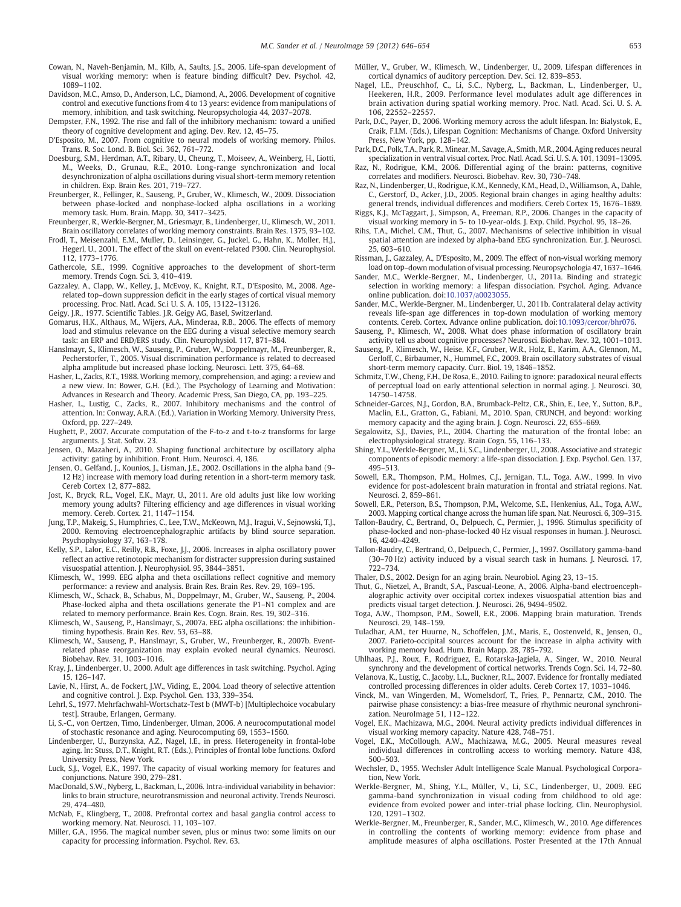- <span id="page-7-0"></span>Cowan, N., Naveh-Benjamin, M., Kilb, A., Saults, J.S., 2006. Life-span development of visual working memory: when is feature binding difficult? Dev. Psychol. 42, 1089–1102.
- Davidson, M.C., Amso, D., Anderson, L.C., Diamond, A., 2006. Development of cognitive control and executive functions from 4 to 13 years: evidence from manipulations of memory, inhibition, and task switching. Neuropsychologia 44, 2037–2078.
- Dempster, F.N., 1992. The rise and fall of the inhibitory mechanism: toward a unified theory of cognitive development and aging. Dev. Rev. 12, 45–75.
- D'Esposito, M., 2007. From cognitive to neural models of working memory. Philos. Trans. R. Soc. Lond. B. Biol. Sci. 362, 761–772.
- Doesburg, S.M., Herdman, A.T., Ribary, U., Cheung, T., Moiseev, A., Weinberg, H., Liotti, M., Weeks, D., Grunau, R.E., 2010. Long-range synchronization and local desynchronization of alpha oscillations during visual short-term memory retention in children. Exp. Brain Res. 201, 719–727.
- Freunberger, R., Fellinger, R., Sauseng, P., Gruber, W., Klimesch, W., 2009. Dissociation between phase-locked and nonphase-locked alpha oscillations in a working memory task. Hum. Brain. Mapp. 30, 3417–3425.
- Freunberger, R., Werkle-Bergner, M., Griesmayr, B., Lindenberger, U., Klimesch, W., 2011. Brain oscillatory correlates of working memory constraints. Brain Res. 1375, 93–102.
- Frodl, T., Meisenzahl, E.M., Muller, D., Leinsinger, G., Juckel, G., Hahn, K., Moller, H.J., Hegerl, U., 2001. The effect of the skull on event-related P300. Clin. Neurophysiol. 112, 1773–1776.
- Gathercole, S.E., 1999. Cognitive approaches to the development of short-term memory. Trends Cogn. Sci. 3, 410–419.
- Gazzaley, A., Clapp, W., Kelley, J., McEvoy, K., Knight, R.T., D'Esposito, M., 2008. Agerelated top–down suppression deficit in the early stages of cortical visual memory processing. Proc. Natl. Acad. Sc.i U. S. A. 105, 13122–13126.
- Geigy, J.R., 1977. Scientific Tables. J.R. Geigy AG, Basel, Switzerland.
- Gomarus, H.K., Althaus, M., Wijers, A.A., Minderaa, R.B., 2006. The effects of memory load and stimulus relevance on the EEG during a visual selective memory search task: an ERP and ERD/ERS study. Clin. Neurophysiol. 117, 871–884.
- Hanslmayr, S., Klimesch, W., Sauseng, P., Gruber, W., Doppelmayr, M., Freunberger, R., Pecherstorfer, T., 2005. Visual discrimination performance is related to decreased alpha amplitude but increased phase locking. Neurosci. Lett. 375, 64–68.
- Hasher, L., Zacks, R.T., 1988. Working memory, comprehension, and aging: a review and a new view. In: Bower, G.H. (Ed.), The Psychology of Learning and Motivation: Advances in Research and Theory. Academic Press, San Diego, CA, pp. 193–225.
- Hasher, L., Lustig, C., Zacks, R., 2007. Inhibitory mechanisms and the control of attention. In: Conway, A.R.A. (Ed.), Variation in Working Memory. University Press, Oxford, pp. 227–249.
- Hughett, P., 2007. Accurate computation of the F-to-z and t-to-z transforms for large arguments. J. Stat. Softw. 23.
- Jensen, O., Mazaheri, A., 2010. Shaping functional architecture by oscillatory alpha activity: gating by inhibition. Front. Hum. Neurosci. 4, 186.
- Jensen, O., Gelfand, J., Kounios, J., Lisman, J.E., 2002. Oscillations in the alpha band (9-12 Hz) increase with memory load during retention in a short-term memory task. Cereb Cortex 12, 877–882.
- Jost, K., Bryck, R.L., Vogel, E.K., Mayr, U., 2011. Are old adults just like low working memory young adults? Filtering efficiency and age differences in visual working memory. Cereb. Cortex. 21, 1147–1154.
- Jung, T.P., Makeig, S., Humphries, C., Lee, T.W., McKeown, M.J., Iragui, V., Sejnowski, T.J., 2000. Removing electroencephalographic artifacts by blind source separation. Psychophysiology 37, 163–178.
- Kelly, S.P., Lalor, E.C., Reilly, R.B., Foxe, J.J., 2006. Increases in alpha oscillatory power reflect an active retinotopic mechanism for distracter suppression during sustained visuospatial attention. J. Neurophysiol. 95, 3844–3851.
- Klimesch, W., 1999. EEG alpha and theta oscillations reflect cognitive and memory performance: a review and analysis. Brain Res. Brain Res. Rev. 29, 169–195.
- Klimesch, W., Schack, B., Schabus, M., Doppelmayr, M., Gruber, W., Sauseng, P., 2004. Phase-locked alpha and theta oscillations generate the P1–N1 complex and are related to memory performance. Brain Res. Cogn. Brain. Res. 19, 302–316.
- Klimesch, W., Sauseng, P., Hanslmayr, S., 2007a. EEG alpha oscillations: the inhibitiontiming hypothesis. Brain Res. Rev. 53, 63–88.
- Klimesch, W., Sauseng, P., Hanslmayr, S., Gruber, W., Freunberger, R., 2007b. Eventrelated phase reorganization may explain evoked neural dynamics. Neurosci. Biobehav. Rev. 31, 1003–1016.
- Kray, J., Lindenberger, U., 2000. Adult age differences in task switching. Psychol. Aging 15, 126–147.
- Lavie, N., Hirst, A., de Fockert, J.W., Viding, E., 2004. Load theory of selective attention and cognitive control. J. Exp. Psychol. Gen. 133, 339–354.
- Lehrl, S., 1977. Mehrfachwahl-Wortschatz-Test b (MWT-b) [Multiplechoice vocabulary test]. Straube, Erlangen, Germany.
- Li, S.-C., von Oertzen, Timo, Lindenberger, Ulman, 2006. A neurocomputational model of stochastic resonance and aging. Neurocomputing 69, 1553–1560.
- Lindenberger, U., Burzynska, A.Z., Nagel, I.E., in press. Heterogeneity in frontal-lobe aging. In: Stuss, D.T., Knight, R.T. (Eds.), Principles of frontal lobe functions. Oxford University Press, New York.
- Luck, S.J., Vogel, E.K., 1997. The capacity of visual working memory for features and conjunctions. Nature 390, 279–281.
- MacDonald, S.W., Nyberg, L., Backman, L., 2006. Intra-individual variability in behavior: links to brain structure, neurotransmission and neuronal activity. Trends Neurosci. 29, 474–480.
- McNab, F., Klingberg, T., 2008. Prefrontal cortex and basal ganglia control access to working memory. Nat. Neurosci. 11, 103–107.
- Miller, G.A., 1956. The magical number seven, plus or minus two: some limits on our capacity for processing information. Psychol. Rev. 63.
- Müller, V., Gruber, W., Klimesch, W., Lindenberger, U., 2009. Lifespan differences in cortical dynamics of auditory perception. Dev. Sci. 12, 839–853.
- Nagel, I.E., Preuschhof, C., Li, S.C., Nyberg, L., Backman, L., Lindenberger, U., Heekeren, H.R., 2009. Performance level modulates adult age differences in brain activation during spatial working memory. Proc. Natl. Acad. Sci. U. S. A. 106, 22552–22557.
- Park, D.C., Payer, D., 2006. Working memory across the adult lifespan. In: Bialystok, E., Craik, F.I.M. (Eds.), Lifespan Cognition: Mechanisms of Change. Oxford University Press, New York, pp. 128–142.
- Park, D.C., Polk, T.A., Park, R., Minear, M., Savage, A., Smith, M.R., 2004. Aging reduces neural specialization in ventral visual cortex. Proc. Natl. Acad. Sci. U. S. A. 101, 13091–13095.
- Raz, N., Rodrigue, K.M., 2006. Differential aging of the brain: patterns, cognitive correlates and modifiers. Neurosci. Biobehav. Rev. 30, 730–748.
- Raz, N., Lindenberger, U., Rodrigue, K.M., Kennedy, K.M., Head, D., Williamson, A., Dahle, C., Gerstorf, D., Acker, J.D., 2005. Regional brain changes in aging healthy adults: general trends, individual differences and modifiers. Cereb Cortex 15, 1676–1689.
- Riggs, K.J., McTaggart, J., Simpson, A., Freeman, R.P., 2006. Changes in the capacity of visual working memory in 5- to 10-year-olds. J. Exp. Child. Psychol. 95, 18–26.
- Rihs, T.A., Michel, C.M., Thut, G., 2007. Mechanisms of selective inhibition in visual spatial attention are indexed by alpha-band EEG synchronization. Eur. J. Neurosci. 25, 603–610.
- Rissman, J., Gazzaley, A., D'Esposito, M., 2009. The effect of non-visual working memory load on top–down modulation of visual processing. Neuropsychologia 47, 1637–1646.
- Sander, M.C., Werkle-Bergner, M., Lindenberger, U., 2011a. Binding and strategic selection in working memory: a lifespan dissociation. Psychol. Aging. Advance online publication. doi:10.1037/a0023055.
- Sander, M.C., Werkle-Bergner, M., Lindenberger, U., 2011b. Contralateral delay activity reveals life-span age differences in top-down modulation of working memory contents. Cereb. Cortex. Advance online publication. doi:10.1093/cercor/bhr076.
- Sauseng, P., Klimesch, W., 2008. What does phase information of oscillatory brain activity tell us about cognitive processes? Neurosci. Biobehav. Rev. 32, 1001–1013.
- Sauseng, P., Klimesch, W., Heise, K.F., Gruber, W.R., Holz, E., Karim, A.A., Glennon, M., Gerloff, C., Birbaumer, N., Hummel, F.C., 2009. Brain oscillatory substrates of visual short-term memory capacity. Curr. Biol. 19, 1846–1852.
- Schmitz, T.W., Cheng, F.H., De Rosa, E., 2010. Failing to ignore: paradoxical neural effects of perceptual load on early attentional selection in normal aging. J. Neurosci. 30, 14750–14758.
- Schneider-Garces, N.J., Gordon, B.A., Brumback-Peltz, C.R., Shin, E., Lee, Y., Sutton, B.P., Maclin, E.L., Gratton, G., Fabiani, M., 2010. Span, CRUNCH, and beyond: working memory capacity and the aging brain. J. Cogn. Neurosci. 22, 655–669.
- Segalowitz, S.J., Davies, P.L., 2004. Charting the maturation of the frontal lobe: an electrophysiological strategy. Brain Cogn. 55, 116–133.
- Shing, Y.L., Werkle-Bergner, M., Li, S.C., Lindenberger, U., 2008. Associative and strategic components of episodic memory: a life-span dissociation. J. Exp. Psychol. Gen. 137, 495–513.
- Sowell, E.R., Thompson, P.M., Holmes, C.J., Jernigan, T.L., Toga, A.W., 1999. In vivo evidence for post-adolescent brain maturation in frontal and striatal regions. Nat. Neurosci. 2, 859–861.
- Sowell, E.R., Peterson, B.S., Thompson, P.M., Welcome, S.E., Henkenius, A.L., Toga, A.W., 2003. Mapping cortical change across the human life span. Nat. Neurosci. 6, 309–315.
- Tallon-Baudry, C., Bertrand, O., Delpuech, C., Permier, J., 1996. Stimulus specificity of phase-locked and non-phase-locked 40 Hz visual responses in human. J. Neurosci. 16, 4240–4249.
- Tallon-Baudry, C., Bertrand, O., Delpuech, C., Permier, J., 1997. Oscillatory gamma-band (30–70 Hz) activity induced by a visual search task in humans. J. Neurosci. 17, 722–734.
- Thaler, D.S., 2002. Design for an aging brain. Neurobiol. Aging 23, 13–15.
- Thut, G., Nietzel, A., Brandt, S.A., Pascual-Leone, A., 2006. Alpha-band electroencephalographic activity over occipital cortex indexes visuospatial attention bias and predicts visual target detection. J. Neurosci. 26, 9494–9502.
- Toga, A.W., Thompson, P.M., Sowell, E.R., 2006. Mapping brain maturation. Trends Neurosci. 29, 148–159.
- Tuladhar, A.M., ter Huurne, N., Schoffelen, J.M., Maris, E., Oostenveld, R., Jensen, O., 2007. Parieto-occipital sources account for the increase in alpha activity with working memory load. Hum. Brain Mapp. 28, 785–792.
- Uhlhaas, P.J., Roux, F., Rodriguez, E., Rotarska-Jagiela, A., Singer, W., 2010. Neural synchrony and the development of cortical networks. Trends Cogn. Sci. 14, 72–80.
- Velanova, K., Lustig, C., Jacoby, L.L., Buckner, R.L., 2007. Evidence for frontally mediated controlled processing differences in older adults. Cereb Cortex 17, 1033–1046.
- Vinck, M., van Wingerden, M., Womelsdorf, T., Fries, P., Pennartz, C.M., 2010. The pairwise phase consistency: a bias-free measure of rhythmic neuronal synchronization. NeuroImage 51, 112–122.
- Vogel, E.K., Machizawa, M.G., 2004. Neural activity predicts individual differences in visual working memory capacity. Nature 428, 748–751.
- Vogel, E.K., McCollough, A.W., Machizawa, M.G., 2005. Neural measures reveal individual differences in controlling access to working memory. Nature 438, 500–503.
- Wechsler, D., 1955. Wechsler Adult Intelligence Scale Manual. Psychological Corporation, New York.
- Werkle-Bergner, M., Shing, Y.L., Müller, V., Li, S.C., Lindenberger, U., 2009. EEG gamma-band synchronization in visual coding from childhood to old age: evidence from evoked power and inter-trial phase locking. Clin. Neurophysiol. 120, 1291–1302.
- Werkle-Bergner, M., Freunberger, R., Sander, M.C., Klimesch, W., 2010. Age differences in controlling the contents of working memory: evidence from phase and amplitude measures of alpha oscillations. Poster Presented at the 17th Annual